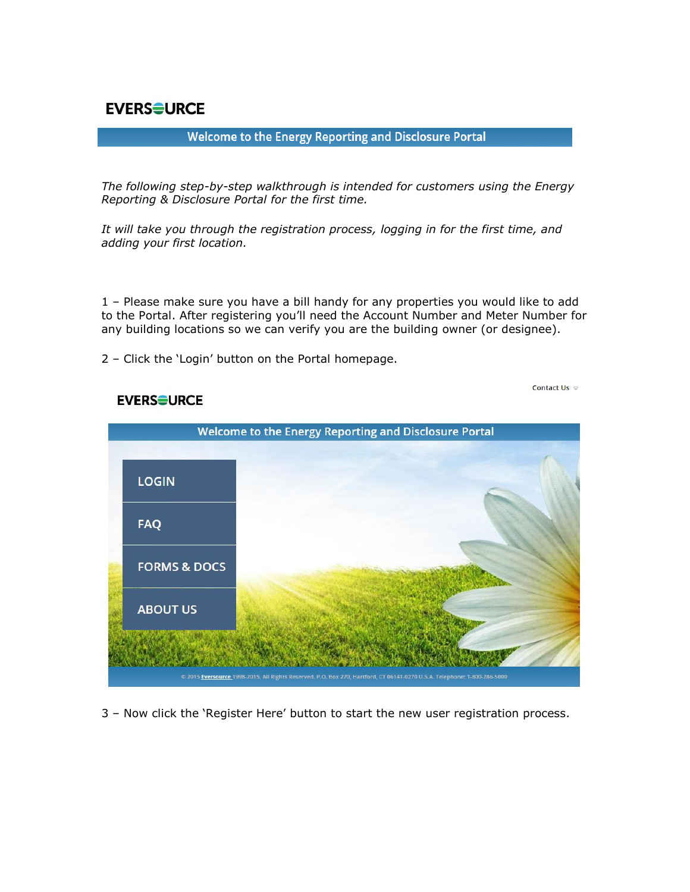**EVERSOURCE** 

## Welcome to the Energy Reporting and Disclosure Portal

*The following step-by-step walkthrough is intended for customers using the Energy Reporting & Disclosure Portal for the first time.* 

*It will take you through the registration process, logging in for the first time, and adding your first location.*

1 – Please make sure you have a bill handy for any properties you would like to add to the Portal. After registering you'll need the Account Number and Meter Number for any building locations so we can verify you are the building owner (or designee).

2 – Click the 'Login' button on the Portal homepage.

Contact Us  $\approx$ 



## **EVERSOURCE**

3 – Now click the 'Register Here' button to start the new user registration process.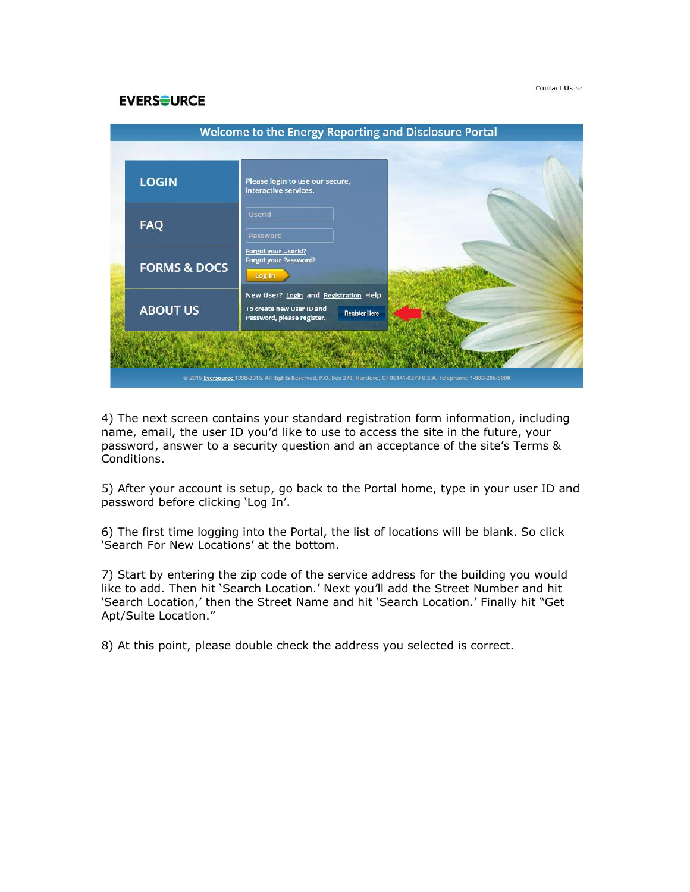## **EVERSOURCE**

| <b>Welcome to the Energy Reporting and Disclosure Portal</b> |                         |                                                                                                                          |  |  |  |  |  |  |  |
|--------------------------------------------------------------|-------------------------|--------------------------------------------------------------------------------------------------------------------------|--|--|--|--|--|--|--|
|                                                              |                         |                                                                                                                          |  |  |  |  |  |  |  |
|                                                              | <b>LOGIN</b>            | Please login to use our secure,<br>interactive services.                                                                 |  |  |  |  |  |  |  |
|                                                              | <b>FAQ</b>              | <b>UserId</b><br>Password                                                                                                |  |  |  |  |  |  |  |
|                                                              | <b>FORMS &amp; DOCS</b> | Forgot your UserId?<br><b>Forgot your Password?</b><br>Log In                                                            |  |  |  |  |  |  |  |
|                                                              | <b>ABOUT US</b>         | New User? Login and Registration Help<br>To create new User ID and<br><b>Register Here</b><br>Password, please register. |  |  |  |  |  |  |  |
|                                                              |                         | @ 2015 Eversource 1998-2015. All Rights Reserved. P.O. Box 270, Hartford, CT 06141-0270 U.S.A. Telephone: 1-800-286-5000 |  |  |  |  |  |  |  |

4) The next screen contains your standard registration form information, including name, email, the user ID you'd like to use to access the site in the future, your password, answer to a security question and an acceptance of the site's Terms & Conditions.

5) After your account is setup, go back to the Portal home, type in your user ID and password before clicking 'Log In'.

6) The first time logging into the Portal, the list of locations will be blank. So click 'Search For New Locations' at the bottom.

7) Start by entering the zip code of the service address for the building you would like to add. Then hit 'Search Location.' Next you'll add the Street Number and hit 'Search Location,' then the Street Name and hit 'Search Location.' Finally hit "Get Apt/Suite Location."

8) At this point, please double check the address you selected is correct.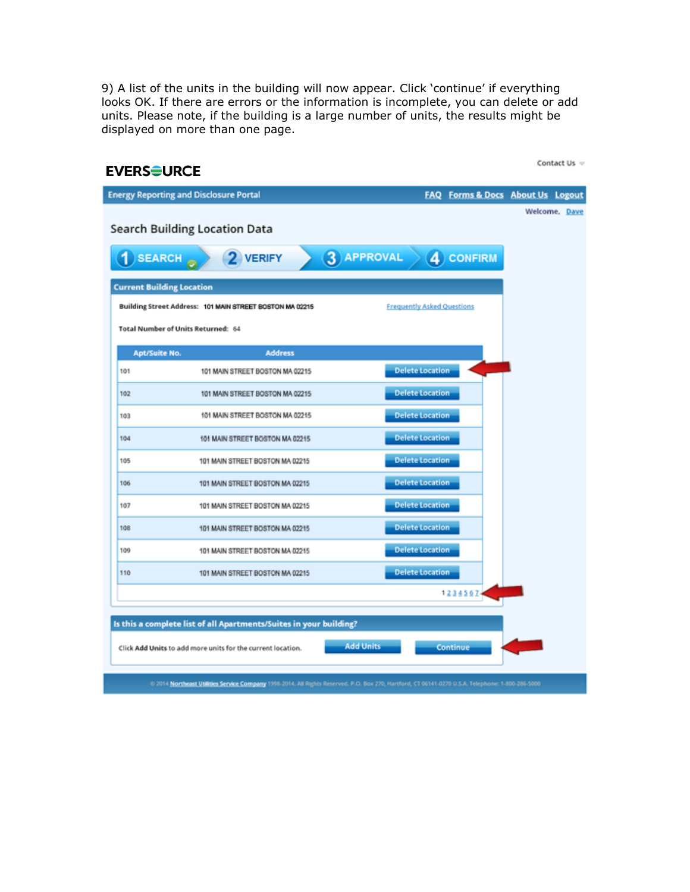9) A list of the units in the building will now appear. Click 'continue' if everything looks OK. If there are errors or the information is incomplete, you can delete or add units. Please note, if the building is a large number of units, the results might be displayed on more than one page.

| <b>EVERSOURCE</b>                                                  | Contact Us =                                                                                                                                      |  |  |  |  |  |  |  |  |  |
|--------------------------------------------------------------------|---------------------------------------------------------------------------------------------------------------------------------------------------|--|--|--|--|--|--|--|--|--|
| <b>Energy Reporting and Disclosure Portal</b>                      | Forms & Docs About Us Logout<br><b>FAQ</b>                                                                                                        |  |  |  |  |  |  |  |  |  |
| <b>Search Building Location Data</b><br>$1)$ SEARCH<br>2 VERIFY    | Welcome, Dave<br>3 APPROVAL<br>4 CONFIRM                                                                                                          |  |  |  |  |  |  |  |  |  |
| <b>Current Building Location</b>                                   |                                                                                                                                                   |  |  |  |  |  |  |  |  |  |
| Building Street Address: 101 MAIN STREET BOSTON MA 02215           | <b>Frequently Asked Questions</b>                                                                                                                 |  |  |  |  |  |  |  |  |  |
| Total Number of Units Returned: 64                                 |                                                                                                                                                   |  |  |  |  |  |  |  |  |  |
| <b>Apt/Suite No.</b><br><b>Address</b>                             |                                                                                                                                                   |  |  |  |  |  |  |  |  |  |
| 101<br>101 MAIN STREET BOSTON MA 02215                             | <b>Delete Location</b>                                                                                                                            |  |  |  |  |  |  |  |  |  |
| 102<br>101 MAIN STREET BOSTON MA 02215                             | <b>Delete Location</b>                                                                                                                            |  |  |  |  |  |  |  |  |  |
| 101 MAIN STREET BOSTON MA 02215<br>103                             | <b>Delete Location</b>                                                                                                                            |  |  |  |  |  |  |  |  |  |
| 104<br>101 MAIN STREET BOSTON MA 02215                             | <b>Delete Location</b>                                                                                                                            |  |  |  |  |  |  |  |  |  |
| 105<br>101 MAIN STREET BOSTON MA 02215                             | <b>Delete Location</b>                                                                                                                            |  |  |  |  |  |  |  |  |  |
| 106<br>101 MAIN STREET BOSTON MA 02215                             | <b>Delete Location</b>                                                                                                                            |  |  |  |  |  |  |  |  |  |
| 107<br>101 MAIN STREET BOSTON MA 02215                             | <b>Delete Location</b>                                                                                                                            |  |  |  |  |  |  |  |  |  |
| 108<br>101 MAIN STREET BOSTON MA 02215                             | <b>Delete Location</b>                                                                                                                            |  |  |  |  |  |  |  |  |  |
| 109<br>101 MAIN STREET BOSTON MA 02215                             | <b>Delete Location</b>                                                                                                                            |  |  |  |  |  |  |  |  |  |
| 110<br>101 MAIN STREET BOSTON MA 02215                             | <b>Delete Location</b>                                                                                                                            |  |  |  |  |  |  |  |  |  |
|                                                                    | 12345674                                                                                                                                          |  |  |  |  |  |  |  |  |  |
| Is this a complete list of all Apartments/Suites in your building? |                                                                                                                                                   |  |  |  |  |  |  |  |  |  |
| Click Add Units to add more units for the current location.        | <b>Add Units</b><br>Continue                                                                                                                      |  |  |  |  |  |  |  |  |  |
|                                                                    | 0 2014 Northeast Utilities Service Company 1998-2014. All Rights Reserved. P.O. Box 270, Hartford, CT 06141-0270 U.S.A. Telephone: 1-800-286-5000 |  |  |  |  |  |  |  |  |  |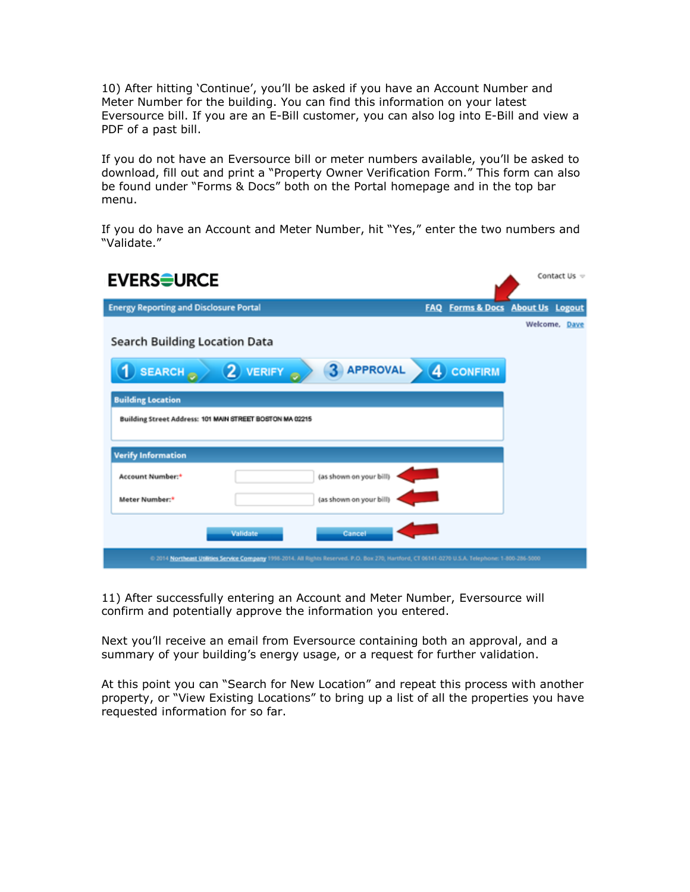10) After hitting 'Continue', you'll be asked if you have an Account Number and Meter Number for the building. You can find this information on your latest Eversource bill. If you are an E-Bill customer, you can also log into E-Bill and view a PDF of a past bill.

If you do not have an Eversource bill or meter numbers available, you'll be asked to download, fill out and print a "Property Owner Verification Form." This form can also be found under "Forms & Docs" both on the Portal homepage and in the top bar menu.

If you do have an Account and Meter Number, hit "Yes," enter the two numbers and "Validate."



11) After successfully entering an Account and Meter Number, Eversource will confirm and potentially approve the information you entered.

Next you'll receive an email from Eversource containing both an approval, and a summary of your building's energy usage, or a request for further validation.

At this point you can "Search for New Location" and repeat this process with another property, or "View Existing Locations" to bring up a list of all the properties you have requested information for so far.